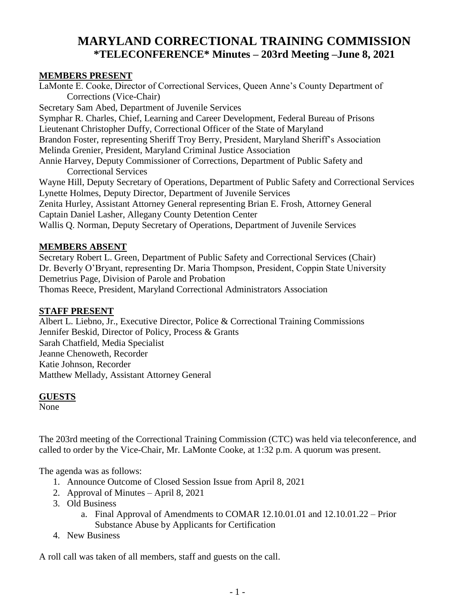# **MARYLAND CORRECTIONAL TRAINING COMMISSION \*TELECONFERENCE\* Minutes – 203rd Meeting –June 8, 2021**

## **MEMBERS PRESENT**

LaMonte E. Cooke, Director of Correctional Services, Queen Anne's County Department of Corrections (Vice-Chair) Secretary Sam Abed, Department of Juvenile Services Symphar R. Charles, Chief, Learning and Career Development, Federal Bureau of Prisons Lieutenant Christopher Duffy, Correctional Officer of the State of Maryland Brandon Foster, representing Sheriff Troy Berry, President, Maryland Sheriff's Association Melinda Grenier, President, Maryland Criminal Justice Association Annie Harvey, Deputy Commissioner of Corrections, Department of Public Safety and Correctional Services Wayne Hill, Deputy Secretary of Operations, Department of Public Safety and Correctional Services Lynette Holmes, Deputy Director, Department of Juvenile Services Zenita Hurley, Assistant Attorney General representing Brian E. Frosh, Attorney General Captain Daniel Lasher, Allegany County Detention Center Wallis Q. Norman, Deputy Secretary of Operations, Department of Juvenile Services

#### **MEMBERS ABSENT**

Secretary Robert L. Green, Department of Public Safety and Correctional Services (Chair) Dr. Beverly O'Bryant, representing Dr. Maria Thompson, President, Coppin State University Demetrius Page, Division of Parole and Probation Thomas Reece, President, Maryland Correctional Administrators Association

## **STAFF PRESENT**

Albert L. Liebno, Jr., Executive Director, Police & Correctional Training Commissions Jennifer Beskid, Director of Policy, Process & Grants Sarah Chatfield, Media Specialist Jeanne Chenoweth, Recorder Katie Johnson, Recorder Matthew Mellady, Assistant Attorney General

#### **GUESTS**

None

The 203rd meeting of the Correctional Training Commission (CTC) was held via teleconference, and called to order by the Vice-Chair, Mr. LaMonte Cooke, at 1:32 p.m. A quorum was present.

The agenda was as follows:

- 1. Announce Outcome of Closed Session Issue from April 8, 2021
- 2. Approval of Minutes April 8, 2021
- 3. Old Business
	- a. Final Approval of Amendments to COMAR 12.10.01.01 and 12.10.01.22 Prior Substance Abuse by Applicants for Certification
- 4. New Business

A roll call was taken of all members, staff and guests on the call.